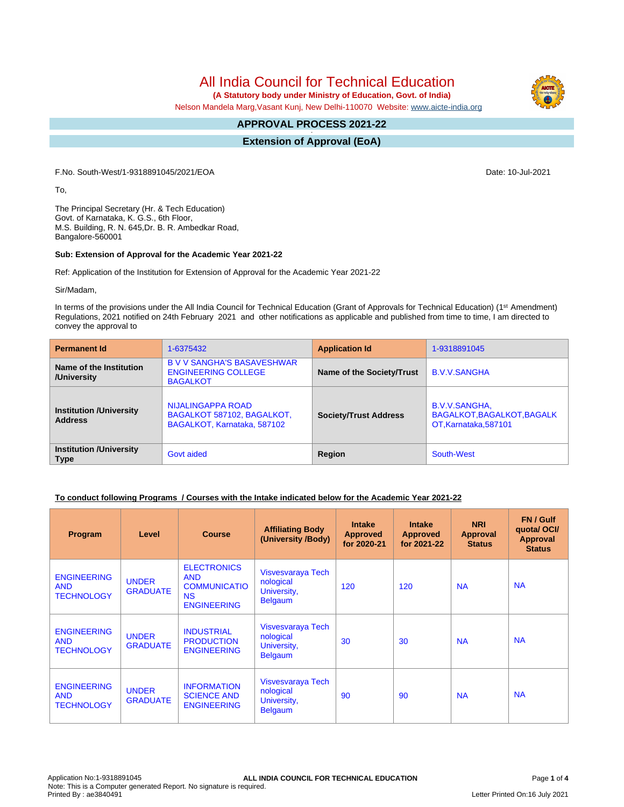**(A Statutory body under Ministry of Education, Govt. of India)**

Nelson Mandela Marg,Vasant Kunj, New Delhi-110070 Website: [www.aicte-india.org](http://www.aicte-india.org)

#### **APPROVAL PROCESS 2021-22 -**

**Extension of Approval (EoA)**

F.No. South-West/1-9318891045/2021/EOA Date: 10-Jul-2021

To,

The Principal Secretary (Hr. & Tech Education) Govt. of Karnataka, K. G.S., 6th Floor, M.S. Building, R. N. 645,Dr. B. R. Ambedkar Road, Bangalore-560001

#### **Sub: Extension of Approval for the Academic Year 2021-22**

Ref: Application of the Institution for Extension of Approval for the Academic Year 2021-22

Sir/Madam,

In terms of the provisions under the All India Council for Technical Education (Grant of Approvals for Technical Education) (1<sup>st</sup> Amendment) Regulations, 2021 notified on 24th February 2021 and other notifications as applicable and published from time to time, I am directed to convey the approval to

| <b>Permanent Id</b>                              | 1-6375432                                                                          | <b>Application Id</b>        | 1-9318891045                                                         |
|--------------------------------------------------|------------------------------------------------------------------------------------|------------------------------|----------------------------------------------------------------------|
| Name of the Institution<br>/University           | <b>B V V SANGHA'S BASAVESHWAR</b><br><b>ENGINEERING COLLEGE</b><br><b>BAGALKOT</b> | Name of the Society/Trust    | <b>B.V.V.SANGHA</b>                                                  |
| <b>Institution /University</b><br><b>Address</b> | NIJALINGAPPA ROAD<br>BAGALKOT 587102, BAGALKOT,<br>BAGALKOT, Karnataka, 587102     | <b>Society/Trust Address</b> | B.V.V.SANGHA,<br>BAGALKOT, BAGALKOT, BAGALK<br>OT, Karnataka, 587101 |
| <b>Institution /University</b><br><b>Type</b>    | Govt aided                                                                         | Region                       | South-West                                                           |

#### **To conduct following Programs / Courses with the Intake indicated below for the Academic Year 2021-22**

| Program                                               | Level                           | <b>Course</b>                                                                              | <b>Affiliating Body</b><br>(University /Body)                   | <b>Intake</b><br><b>Approved</b><br>for 2020-21 | <b>Intake</b><br><b>Approved</b><br>for 2021-22 | <b>NRI</b><br>Approval<br><b>Status</b> | FN / Gulf<br>quotal OCI/<br><b>Approval</b><br><b>Status</b> |
|-------------------------------------------------------|---------------------------------|--------------------------------------------------------------------------------------------|-----------------------------------------------------------------|-------------------------------------------------|-------------------------------------------------|-----------------------------------------|--------------------------------------------------------------|
| <b>ENGINEERING</b><br><b>AND</b><br><b>TECHNOLOGY</b> | <b>UNDER</b><br><b>GRADUATE</b> | <b>ELECTRONICS</b><br><b>AND</b><br><b>COMMUNICATIO</b><br><b>NS</b><br><b>ENGINEERING</b> | Visvesvaraya Tech<br>nological<br>University,<br><b>Belgaum</b> | 120                                             | 120                                             | <b>NA</b>                               | <b>NA</b>                                                    |
| <b>ENGINEERING</b><br><b>AND</b><br><b>TECHNOLOGY</b> | <b>UNDER</b><br><b>GRADUATE</b> | <b>INDUSTRIAL</b><br><b>PRODUCTION</b><br><b>ENGINEERING</b>                               | Visvesvaraya Tech<br>nological<br>University,<br><b>Belgaum</b> | 30                                              | 30                                              | <b>NA</b>                               | <b>NA</b>                                                    |
| <b>ENGINEERING</b><br><b>AND</b><br><b>TECHNOLOGY</b> | <b>UNDER</b><br><b>GRADUATE</b> | <b>INFORMATION</b><br><b>SCIENCE AND</b><br><b>ENGINEERING</b>                             | Visvesvaraya Tech<br>nological<br>University,<br><b>Belgaum</b> | 90                                              | 90                                              | <b>NA</b>                               | <b>NA</b>                                                    |

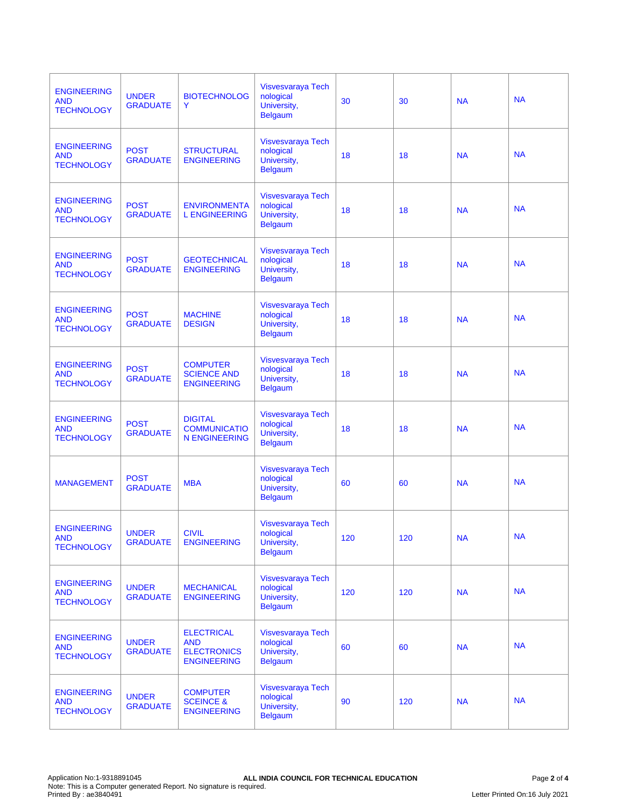| <b>ENGINEERING</b><br><b>AND</b><br><b>TECHNOLOGY</b> | <b>UNDER</b><br><b>GRADUATE</b> | <b>BIOTECHNOLOG</b><br>Y                                                    | Visvesvaraya Tech<br>nological<br>University,<br><b>Belgaum</b> | 30  | 30  | <b>NA</b> | <b>NA</b> |
|-------------------------------------------------------|---------------------------------|-----------------------------------------------------------------------------|-----------------------------------------------------------------|-----|-----|-----------|-----------|
| <b>ENGINEERING</b><br><b>AND</b><br><b>TECHNOLOGY</b> | <b>POST</b><br><b>GRADUATE</b>  | <b>STRUCTURAL</b><br><b>ENGINEERING</b>                                     | Visvesvaraya Tech<br>nological<br>University,<br><b>Belgaum</b> | 18  | 18  | <b>NA</b> | <b>NA</b> |
| <b>ENGINEERING</b><br><b>AND</b><br><b>TECHNOLOGY</b> | <b>POST</b><br><b>GRADUATE</b>  | <b>ENVIRONMENTA</b><br><b>L ENGINEERING</b>                                 | Visvesvaraya Tech<br>nological<br>University,<br><b>Belgaum</b> | 18  | 18  | <b>NA</b> | <b>NA</b> |
| <b>ENGINEERING</b><br><b>AND</b><br><b>TECHNOLOGY</b> | <b>POST</b><br><b>GRADUATE</b>  | <b>GEOTECHNICAL</b><br><b>ENGINEERING</b>                                   | Visvesvaraya Tech<br>nological<br>University,<br><b>Belgaum</b> | 18  | 18  | <b>NA</b> | <b>NA</b> |
| <b>ENGINEERING</b><br><b>AND</b><br><b>TECHNOLOGY</b> | <b>POST</b><br><b>GRADUATE</b>  | <b>MACHINE</b><br><b>DESIGN</b>                                             | Visvesvaraya Tech<br>nological<br>University,<br><b>Belgaum</b> | 18  | 18  | <b>NA</b> | <b>NA</b> |
| <b>ENGINEERING</b><br><b>AND</b><br><b>TECHNOLOGY</b> | <b>POST</b><br><b>GRADUATE</b>  | <b>COMPUTER</b><br><b>SCIENCE AND</b><br><b>ENGINEERING</b>                 | Visvesvaraya Tech<br>nological<br>University,<br><b>Belgaum</b> | 18  | 18  | <b>NA</b> | <b>NA</b> |
| <b>ENGINEERING</b><br><b>AND</b><br><b>TECHNOLOGY</b> | <b>POST</b><br><b>GRADUATE</b>  | <b>DIGITAL</b><br><b>COMMUNICATIO</b><br><b>N ENGINEERING</b>               | Visvesvaraya Tech<br>nological<br>University,<br><b>Belgaum</b> | 18  | 18  | <b>NA</b> | <b>NA</b> |
| <b>MANAGEMENT</b>                                     | <b>POST</b><br><b>GRADUATE</b>  | <b>MBA</b>                                                                  | Visvesvaraya Tech<br>nological<br>University,<br><b>Belgaum</b> | 60  | 60  | <b>NA</b> | <b>NA</b> |
| <b>ENGINEERING</b><br><b>AND</b><br><b>TECHNOLOGY</b> | <b>UNDER</b><br><b>GRADUATE</b> | <b>CIVIL</b><br><b>ENGINEERING</b>                                          | Visvesvaraya Tech<br>nological<br>University,<br><b>Belgaum</b> | 120 | 120 | <b>NA</b> | <b>NA</b> |
| <b>ENGINEERING</b><br><b>AND</b><br><b>TECHNOLOGY</b> | <b>UNDER</b><br><b>GRADUATE</b> | <b>MECHANICAL</b><br><b>ENGINEERING</b>                                     | Visvesvaraya Tech<br>nological<br>University,<br><b>Belgaum</b> | 120 | 120 | <b>NA</b> | <b>NA</b> |
| <b>ENGINEERING</b><br><b>AND</b><br><b>TECHNOLOGY</b> | <b>UNDER</b><br><b>GRADUATE</b> | <b>ELECTRICAL</b><br><b>AND</b><br><b>ELECTRONICS</b><br><b>ENGINEERING</b> | Visvesvaraya Tech<br>nological<br>University,<br><b>Belgaum</b> | 60  | 60  | <b>NA</b> | <b>NA</b> |
| <b>ENGINEERING</b><br><b>AND</b><br><b>TECHNOLOGY</b> | <b>UNDER</b><br><b>GRADUATE</b> | <b>COMPUTER</b><br><b>SCEINCE &amp;</b><br><b>ENGINEERING</b>               | Visvesvaraya Tech<br>nological<br>University,<br><b>Belgaum</b> | 90  | 120 | <b>NA</b> | <b>NA</b> |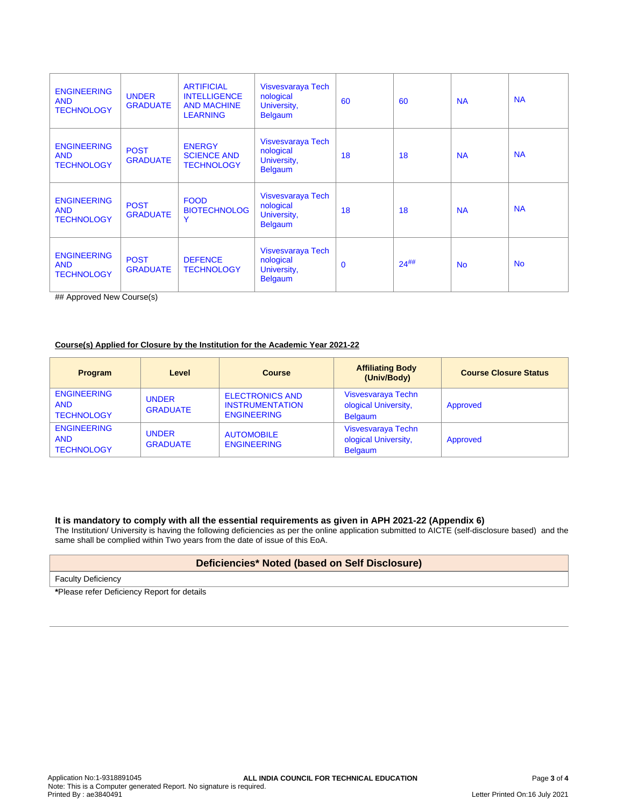| <b>ENGINEERING</b><br><b>AND</b><br><b>TECHNOLOGY</b> | <b>UNDER</b><br><b>GRADUATE</b> | <b>ARTIFICIAL</b><br><b>INTELLIGENCE</b><br><b>AND MACHINE</b><br><b>LEARNING</b> | Visvesvaraya Tech<br>nological<br>University,<br><b>Belgaum</b> | 60          | 60         | <b>NA</b>      | <b>NA</b> |
|-------------------------------------------------------|---------------------------------|-----------------------------------------------------------------------------------|-----------------------------------------------------------------|-------------|------------|----------------|-----------|
| <b>ENGINEERING</b><br><b>AND</b><br><b>TECHNOLOGY</b> | <b>POST</b><br><b>GRADUATE</b>  | <b>ENERGY</b><br><b>SCIENCE AND</b><br><b>TECHNOLOGY</b>                          | Visvesvaraya Tech<br>nological<br>University,<br><b>Belgaum</b> | 18          | 18         | <b>NA</b>      | <b>NA</b> |
| <b>ENGINEERING</b><br><b>AND</b><br><b>TECHNOLOGY</b> | <b>POST</b><br><b>GRADUATE</b>  | <b>FOOD</b><br><b>BIOTECHNOLOG</b><br>Y                                           | Visvesvaraya Tech<br>nological<br>University,<br><b>Belgaum</b> | 18          | 18         | <b>NA</b>      | <b>NA</b> |
| <b>ENGINEERING</b><br><b>AND</b><br><b>TECHNOLOGY</b> | <b>POST</b><br><b>GRADUATE</b>  | <b>DEFENCE</b><br><b>TECHNOLOGY</b>                                               | Visvesvaraya Tech<br>nological<br>University,<br><b>Belgaum</b> | $\mathbf 0$ | $24^{$ ##} | N <sub>o</sub> | <b>No</b> |

## Approved New Course(s)

#### **Course(s) Applied for Closure by the Institution for the Academic Year 2021-22**

| <b>Program</b>                                        | Level                           | <b>Course</b>                                                          | <b>Affiliating Body</b><br>(Univ/Body)                       | <b>Course Closure Status</b> |
|-------------------------------------------------------|---------------------------------|------------------------------------------------------------------------|--------------------------------------------------------------|------------------------------|
| <b>ENGINEERING</b><br><b>AND</b><br><b>TECHNOLOGY</b> | <b>UNDER</b><br><b>GRADUATE</b> | <b>ELECTRONICS AND</b><br><b>INSTRUMENTATION</b><br><b>ENGINEERING</b> | Visvesvaraya Techn<br>ological University,<br><b>Belgaum</b> | Approved                     |
| <b>ENGINEERING</b><br><b>AND</b><br><b>TECHNOLOGY</b> | <b>UNDER</b><br><b>GRADUATE</b> | <b>AUTOMOBILE</b><br><b>ENGINEERING</b>                                | Visvesvaraya Techn<br>ological University,<br><b>Belgaum</b> | Approved                     |

#### **It is mandatory to comply with all the essential requirements as given in APH 2021-22 (Appendix 6)**

The Institution/ University is having the following deficiencies as per the online application submitted to AICTE (self-disclosure based) and the same shall be complied within Two years from the date of issue of this EoA.

#### **Deficiencies\* Noted (based on Self Disclosure)**

Faculty Deficiency

**\***Please refer Deficiency Report for details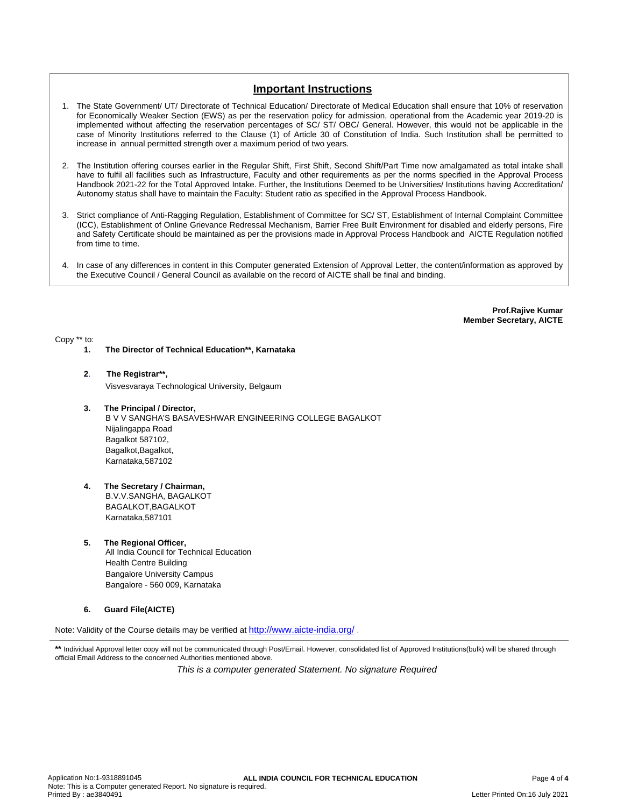### **Important Instructions**

- 1. The State Government/ UT/ Directorate of Technical Education/ Directorate of Medical Education shall ensure that 10% of reservation for Economically Weaker Section (EWS) as per the reservation policy for admission, operational from the Academic year 2019-20 is implemented without affecting the reservation percentages of SC/ ST/ OBC/ General. However, this would not be applicable in the case of Minority Institutions referred to the Clause (1) of Article 30 of Constitution of India. Such Institution shall be permitted to increase in annual permitted strength over a maximum period of two years.
- 2. The Institution offering courses earlier in the Regular Shift, First Shift, Second Shift/Part Time now amalgamated as total intake shall have to fulfil all facilities such as Infrastructure, Faculty and other requirements as per the norms specified in the Approval Process Handbook 2021-22 for the Total Approved Intake. Further, the Institutions Deemed to be Universities/ Institutions having Accreditation/ Autonomy status shall have to maintain the Faculty: Student ratio as specified in the Approval Process Handbook.
- 3. Strict compliance of Anti-Ragging Regulation, Establishment of Committee for SC/ ST, Establishment of Internal Complaint Committee (ICC), Establishment of Online Grievance Redressal Mechanism, Barrier Free Built Environment for disabled and elderly persons, Fire and Safety Certificate should be maintained as per the provisions made in Approval Process Handbook and AICTE Regulation notified from time to time.
- 4. In case of any differences in content in this Computer generated Extension of Approval Letter, the content/information as approved by the Executive Council / General Council as available on the record of AICTE shall be final and binding.

**Prof.Rajive Kumar Member Secretary, AICTE**

Copy \*\* to:

- **1. The Director of Technical Education\*\*, Karnataka**
- **2**. **The Registrar\*\*,**

Visvesvaraya Technological University, Belgaum

**3. The Principal / Director,**

B V V SANGHA'S BASAVESHWAR ENGINEERING COLLEGE BAGALKOT Nijalingappa Road Bagalkot 587102, Bagalkot, Bagalkot, Karnataka,587102

- **4. The Secretary / Chairman,** B.V.V.SANGHA, BAGALKOT BAGALKOT,BAGALKOT Karnataka,587101
- **5. The Regional Officer,** All India Council for Technical Education Health Centre Building Bangalore University Campus Bangalore - 560 009, Karnataka
- **6. Guard File(AICTE)**

Note: Validity of the Course details may be verified at <http://www.aicte-india.org/> **.**

\*\* Individual Approval letter copy will not be communicated through Post/Email. However, consolidated list of Approved Institutions(bulk) will be shared through official Email Address to the concerned Authorities mentioned above.

This is a computer generated Statement. No signature Required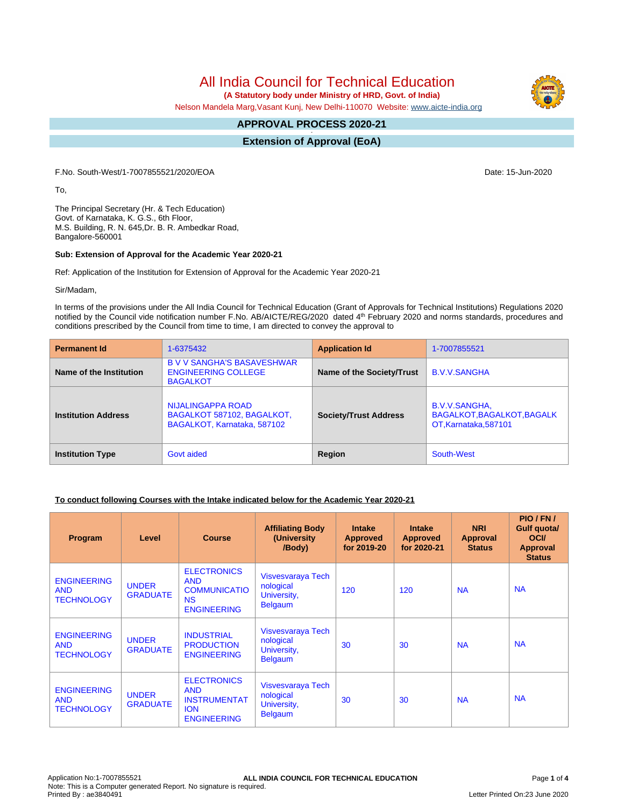**(A Statutory body under Ministry of HRD, Govt. of India)**

Nelson Mandela Marg,Vasant Kunj, New Delhi-110070 Website: [www.aicte-india.org](http://www.aicte-india.org)

#### **APPROVAL PROCESS 2020-21 -**

**Extension of Approval (EoA)**

F.No. South-West/1-7007855521/2020/EOA Date: 15-Jun-2020

To,

The Principal Secretary (Hr. & Tech Education) Govt. of Karnataka, K. G.S., 6th Floor, M.S. Building, R. N. 645,Dr. B. R. Ambedkar Road, Bangalore-560001

#### **Sub: Extension of Approval for the Academic Year 2020-21**

Ref: Application of the Institution for Extension of Approval for the Academic Year 2020-21

Sir/Madam,

In terms of the provisions under the All India Council for Technical Education (Grant of Approvals for Technical Institutions) Regulations 2020 notified by the Council vide notification number F.No. AB/AICTE/REG/2020 dated 4<sup>th</sup> February 2020 and norms standards, procedures and conditions prescribed by the Council from time to time, I am directed to convey the approval to

| <b>Permanent Id</b>        | 1-6375432                                                                          | <b>Application Id</b>        | 1-7007855521                                                         |
|----------------------------|------------------------------------------------------------------------------------|------------------------------|----------------------------------------------------------------------|
| Name of the Institution    | <b>B V V SANGHA'S BASAVESHWAR</b><br><b>ENGINEERING COLLEGE</b><br><b>BAGALKOT</b> | Name of the Society/Trust    | <b>B.V.V.SANGHA</b>                                                  |
| <b>Institution Address</b> | NIJALINGAPPA ROAD<br>BAGALKOT 587102, BAGALKOT,<br>BAGALKOT, Karnataka, 587102     | <b>Society/Trust Address</b> | B.V.V.SANGHA,<br>BAGALKOT, BAGALKOT, BAGALK<br>OT, Karnataka, 587101 |
| <b>Institution Type</b>    | Govt aided                                                                         | Region                       | South-West                                                           |

#### **To conduct following Courses with the Intake indicated below for the Academic Year 2020-21**

| <b>Program</b>                                        | Level                           | <b>Course</b>                                                                               | <b>Affiliating Body</b><br>(University)<br>/Body)               | <b>Intake</b><br><b>Approved</b><br>for 2019-20 | <b>Intake</b><br><b>Approved</b><br>for 2020-21 | <b>NRI</b><br>Approval<br><b>Status</b> | PIO/FN/<br>Gulf quota/<br><b>OCI</b><br><b>Approval</b><br><b>Status</b> |
|-------------------------------------------------------|---------------------------------|---------------------------------------------------------------------------------------------|-----------------------------------------------------------------|-------------------------------------------------|-------------------------------------------------|-----------------------------------------|--------------------------------------------------------------------------|
| <b>ENGINEERING</b><br><b>AND</b><br><b>TECHNOLOGY</b> | <b>UNDER</b><br><b>GRADUATE</b> | <b>ELECTRONICS</b><br><b>AND</b><br><b>COMMUNICATIO</b><br><b>NS</b><br><b>ENGINEERING</b>  | Visvesvaraya Tech<br>nological<br>University,<br><b>Belgaum</b> | 120                                             | 120                                             | <b>NA</b>                               | <b>NA</b>                                                                |
| <b>ENGINEERING</b><br><b>AND</b><br><b>TECHNOLOGY</b> | <b>UNDER</b><br><b>GRADUATE</b> | <b>INDUSTRIAL</b><br><b>PRODUCTION</b><br><b>ENGINEERING</b>                                | Visvesvaraya Tech<br>nological<br>University,<br><b>Belgaum</b> | 30                                              | 30                                              | <b>NA</b>                               | <b>NA</b>                                                                |
| <b>ENGINEERING</b><br><b>AND</b><br><b>TECHNOLOGY</b> | <b>UNDER</b><br><b>GRADUATE</b> | <b>ELECTRONICS</b><br><b>AND</b><br><b>INSTRUMENTAT</b><br><b>ION</b><br><b>ENGINEERING</b> | Visvesvaraya Tech<br>nological<br>University,<br><b>Belgaum</b> | 30                                              | 30                                              | <b>NA</b>                               | <b>NA</b>                                                                |

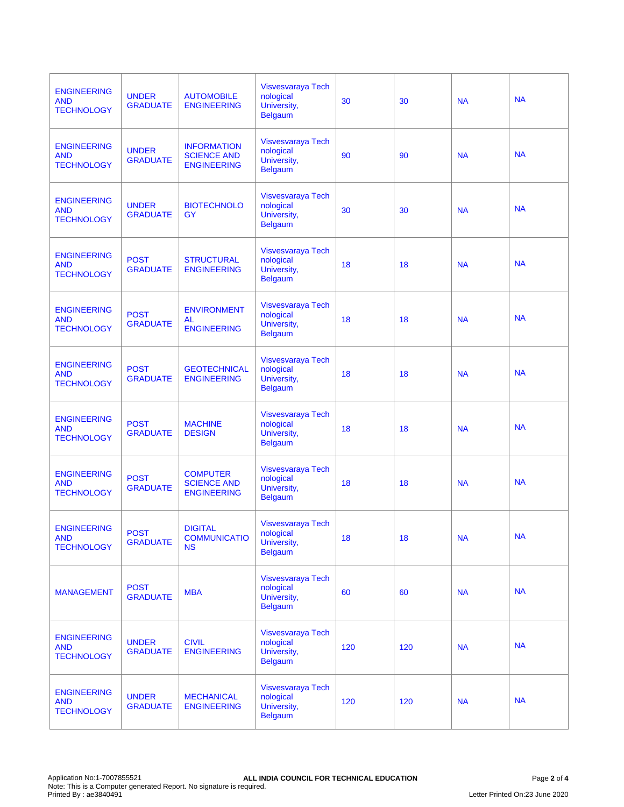| <b>ENGINEERING</b><br><b>AND</b><br><b>TECHNOLOGY</b> | <b>UNDER</b><br><b>GRADUATE</b> | <b>AUTOMOBILE</b><br><b>ENGINEERING</b>                        | Visvesvaraya Tech<br>nological<br>University,<br><b>Belgaum</b>        | 30  | 30  | <b>NA</b> | <b>NA</b> |
|-------------------------------------------------------|---------------------------------|----------------------------------------------------------------|------------------------------------------------------------------------|-----|-----|-----------|-----------|
| <b>ENGINEERING</b><br><b>AND</b><br><b>TECHNOLOGY</b> | <b>UNDER</b><br><b>GRADUATE</b> | <b>INFORMATION</b><br><b>SCIENCE AND</b><br><b>ENGINEERING</b> | <b>Visvesvaraya Tech</b><br>nological<br>University,<br><b>Belgaum</b> | 90  | 90  | <b>NA</b> | <b>NA</b> |
| <b>ENGINEERING</b><br><b>AND</b><br><b>TECHNOLOGY</b> | <b>UNDER</b><br><b>GRADUATE</b> | <b>BIOTECHNOLO</b><br>GY                                       | <b>Visvesvaraya Tech</b><br>nological<br>University,<br><b>Belgaum</b> | 30  | 30  | <b>NA</b> | <b>NA</b> |
| <b>ENGINEERING</b><br><b>AND</b><br><b>TECHNOLOGY</b> | <b>POST</b><br><b>GRADUATE</b>  | <b>STRUCTURAL</b><br><b>ENGINEERING</b>                        | Visvesvaraya Tech<br>nological<br>University,<br><b>Belgaum</b>        | 18  | 18  | <b>NA</b> | <b>NA</b> |
| <b>ENGINEERING</b><br><b>AND</b><br><b>TECHNOLOGY</b> | <b>POST</b><br><b>GRADUATE</b>  | <b>ENVIRONMENT</b><br>AL<br><b>ENGINEERING</b>                 | Visvesvaraya Tech<br>nological<br>University,<br><b>Belgaum</b>        | 18  | 18  | <b>NA</b> | <b>NA</b> |
| <b>ENGINEERING</b><br><b>AND</b><br><b>TECHNOLOGY</b> | <b>POST</b><br><b>GRADUATE</b>  | <b>GEOTECHNICAL</b><br><b>ENGINEERING</b>                      | <b>Visvesvaraya Tech</b><br>nological<br>University,<br><b>Belgaum</b> | 18  | 18  | <b>NA</b> | <b>NA</b> |
| <b>ENGINEERING</b><br><b>AND</b><br><b>TECHNOLOGY</b> | <b>POST</b><br><b>GRADUATE</b>  | <b>MACHINE</b><br><b>DESIGN</b>                                | Visvesvaraya Tech<br>nological<br>University,<br><b>Belgaum</b>        | 18  | 18  | <b>NA</b> | <b>NA</b> |
| <b>ENGINEERING</b><br><b>AND</b><br><b>TECHNOLOGY</b> | <b>POST</b><br><b>GRADUATE</b>  | <b>COMPUTER</b><br><b>SCIENCE AND</b><br><b>ENGINEERING</b>    | Visvesvaraya Tech<br>nological<br>University,<br><b>Belgaum</b>        | 18  | 18  | <b>NA</b> | <b>NA</b> |
| <b>ENGINEERING</b><br><b>AND</b><br><b>TECHNOLOGY</b> | <b>POST</b><br><b>GRADUATE</b>  | <b>DIGITAL</b><br><b>COMMUNICATIO</b><br><b>NS</b>             | <b>Visvesvaraya Tech</b><br>nological<br>University,<br>Belgaum        | 18  | 18  | <b>NA</b> | <b>NA</b> |
| <b>MANAGEMENT</b>                                     | <b>POST</b><br><b>GRADUATE</b>  | <b>MBA</b>                                                     | Visvesvaraya Tech<br>nological<br>University,<br><b>Belgaum</b>        | 60  | 60  | <b>NA</b> | <b>NA</b> |
| <b>ENGINEERING</b><br><b>AND</b><br><b>TECHNOLOGY</b> | <b>UNDER</b><br><b>GRADUATE</b> | <b>CIVIL</b><br><b>ENGINEERING</b>                             | Visvesvaraya Tech<br>nological<br>University,<br><b>Belgaum</b>        | 120 | 120 | <b>NA</b> | <b>NA</b> |
| <b>ENGINEERING</b><br><b>AND</b><br><b>TECHNOLOGY</b> | <b>UNDER</b><br><b>GRADUATE</b> | <b>MECHANICAL</b><br><b>ENGINEERING</b>                        | <b>Visvesvaraya Tech</b><br>nological<br>University,<br><b>Belgaum</b> | 120 | 120 | <b>NA</b> | <b>NA</b> |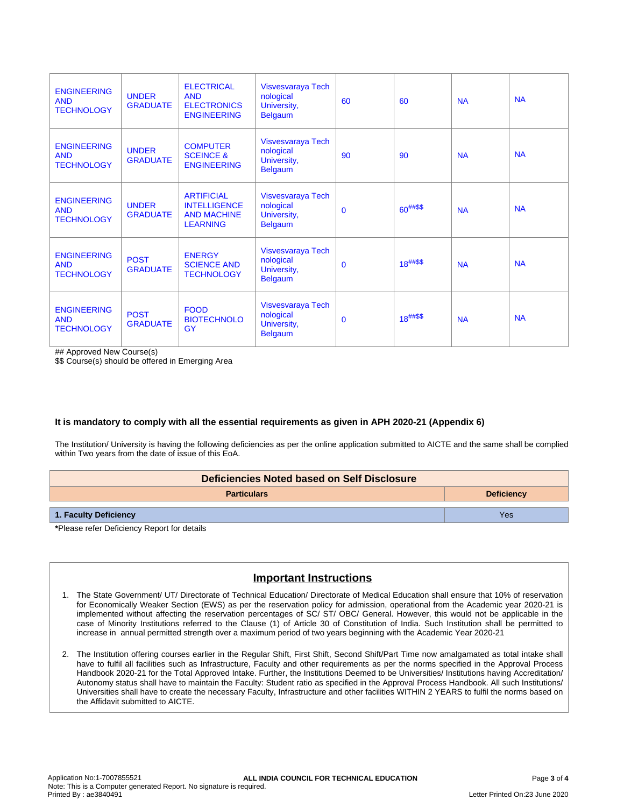| <b>ENGINEERING</b><br><b>AND</b><br><b>TECHNOLOGY</b> | <b>UNDER</b><br><b>GRADUATE</b> | <b>ELECTRICAL</b><br><b>AND</b><br><b>ELECTRONICS</b><br><b>ENGINEERING</b>       | Visvesvaraya Tech<br>nological<br>University,<br><b>Belgaum</b> | 60          | 60            | <b>NA</b> | <b>NA</b> |
|-------------------------------------------------------|---------------------------------|-----------------------------------------------------------------------------------|-----------------------------------------------------------------|-------------|---------------|-----------|-----------|
| <b>ENGINEERING</b><br><b>AND</b><br><b>TECHNOLOGY</b> | <b>UNDER</b><br><b>GRADUATE</b> | <b>COMPUTER</b><br><b>SCEINCE &amp;</b><br><b>ENGINEERING</b>                     | Visvesvaraya Tech<br>nological<br>University,<br><b>Belgaum</b> | 90          | 90            | <b>NA</b> | <b>NA</b> |
| <b>ENGINEERING</b><br><b>AND</b><br><b>TECHNOLOGY</b> | <b>UNDER</b><br><b>GRADUATE</b> | <b>ARTIFICIAL</b><br><b>INTELLIGENCE</b><br><b>AND MACHINE</b><br><b>LEARNING</b> | Visvesvaraya Tech<br>nological<br>University,<br><b>Belgaum</b> | $\mathbf 0$ | $60^{##\$\$}$ | <b>NA</b> | <b>NA</b> |
| <b>ENGINEERING</b><br><b>AND</b><br><b>TECHNOLOGY</b> | <b>POST</b><br><b>GRADUATE</b>  | <b>ENERGY</b><br><b>SCIENCE AND</b><br><b>TECHNOLOGY</b>                          | Visvesvaraya Tech<br>nological<br>University,<br><b>Belgaum</b> | $\mathbf 0$ | $18^{##\$\$}$ | <b>NA</b> | <b>NA</b> |
| <b>ENGINEERING</b><br><b>AND</b><br><b>TECHNOLOGY</b> | <b>POST</b><br><b>GRADUATE</b>  | <b>FOOD</b><br><b>BIOTECHNOLO</b><br><b>GY</b>                                    | Visvesvaraya Tech<br>nological<br>University,<br><b>Belgaum</b> | $\mathbf 0$ | $18^{##\$\$}$ | <b>NA</b> | <b>NA</b> |

## Approved New Course(s)

\$\$ Course(s) should be offered in Emerging Area

#### **It is mandatory to comply with all the essential requirements as given in APH 2020-21 (Appendix 6)**

The Institution/ University is having the following deficiencies as per the online application submitted to AICTE and the same shall be complied within Two years from the date of issue of this EoA.

| Deficiencies Noted based on Self Disclosure |  |  |  |  |  |  |
|---------------------------------------------|--|--|--|--|--|--|
| <b>Particulars</b><br><b>Deficiency</b>     |  |  |  |  |  |  |
| 1. Faculty Deficiency<br>Yes                |  |  |  |  |  |  |
| *Please refer Deficiency Report for details |  |  |  |  |  |  |

### **Important Instructions**

- 1. The State Government/ UT/ Directorate of Technical Education/ Directorate of Medical Education shall ensure that 10% of reservation for Economically Weaker Section (EWS) as per the reservation policy for admission, operational from the Academic year 2020-21 is implemented without affecting the reservation percentages of SC/ ST/ OBC/ General. However, this would not be applicable in the case of Minority Institutions referred to the Clause (1) of Article 30 of Constitution of India. Such Institution shall be permitted to increase in annual permitted strength over a maximum period of two years beginning with the Academic Year 2020-21
- 2. The Institution offering courses earlier in the Regular Shift, First Shift, Second Shift/Part Time now amalgamated as total intake shall have to fulfil all facilities such as Infrastructure, Faculty and other requirements as per the norms specified in the Approval Process Handbook 2020-21 for the Total Approved Intake. Further, the Institutions Deemed to be Universities/ Institutions having Accreditation/ Autonomy status shall have to maintain the Faculty: Student ratio as specified in the Approval Process Handbook. All such Institutions/ Universities shall have to create the necessary Faculty, Infrastructure and other facilities WITHIN 2 YEARS to fulfil the norms based on the Affidavit submitted to AICTE.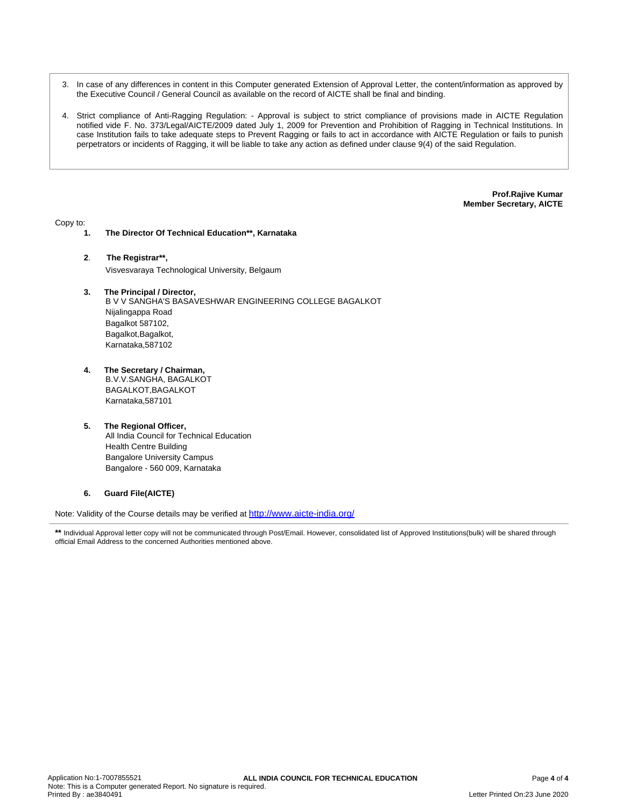- 3. In case of any differences in content in this Computer generated Extension of Approval Letter, the content/information as approved by the Executive Council / General Council as available on the record of AICTE shall be final and binding.
- 4. Strict compliance of Anti-Ragging Regulation: Approval is subject to strict compliance of provisions made in AICTE Regulation notified vide F. No. 373/Legal/AICTE/2009 dated July 1, 2009 for Prevention and Prohibition of Ragging in Technical Institutions. In case Institution fails to take adequate steps to Prevent Ragging or fails to act in accordance with AICTE Regulation or fails to punish perpetrators or incidents of Ragging, it will be liable to take any action as defined under clause 9(4) of the said Regulation.

**Prof.Rajive Kumar Member Secretary, AICTE**

Copy to:

- **1. The Director Of Technical Education\*\*, Karnataka**
- **2**. **The Registrar\*\*,** Visvesvaraya Technological University, Belgaum
- **3. The Principal / Director,** B V V SANGHA'S BASAVESHWAR ENGINEERING COLLEGE BAGALKOT Nijalingappa Road Bagalkot 587102, Bagalkot, Bagalkot, Karnataka,587102
- **4. The Secretary / Chairman,** B.V.V.SANGHA, BAGALKOT BAGALKOT,BAGALKOT Karnataka,587101
- **5. The Regional Officer,** All India Council for Technical Education Health Centre Building Bangalore University Campus Bangalore - 560 009, Karnataka

#### **6. Guard File(AICTE)**

Note: Validity of the Course details may be verified at <http://www.aicte-india.org/>

**<sup>\*\*</sup>** Individual Approval letter copy will not be communicated through Post/Email. However, consolidated list of Approved Institutions(bulk) will be shared through official Email Address to the concerned Authorities mentioned above.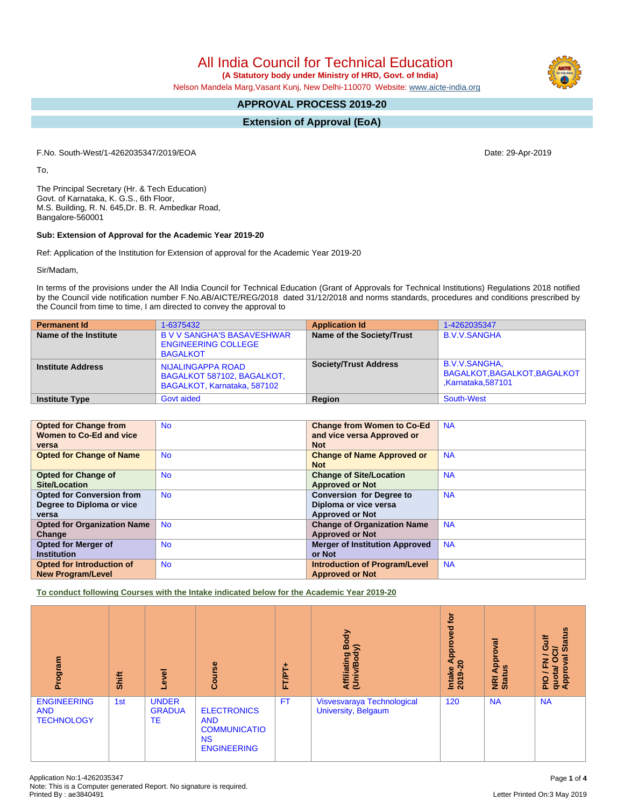**(A Statutory body under Ministry of HRD, Govt. of India)**

Nelson Mandela Marg,Vasant Kunj, New Delhi-110070 Website: [www.aicte-india.org](http://www.aicte-india.org)

### **APPROVAL PROCESS 2019-20**

#### **Extension of Approval (EoA)**

F.No. South-West/1-4262035347/2019/EOA Date: 29-Apr-2019

To,

The Principal Secretary (Hr. & Tech Education) Govt. of Karnataka, K. G.S., 6th Floor, M.S. Building, R. N. 645,Dr. B. R. Ambedkar Road, Bangalore-560001

#### **Sub: Extension of Approval for the Academic Year 2019-20**

Ref: Application of the Institution for Extension of approval for the Academic Year 2019-20

Sir/Madam,

In terms of the provisions under the All India Council for Technical Education (Grant of Approvals for Technical Institutions) Regulations 2018 notified by the Council vide notification number F.No.AB/AICTE/REG/2018 dated 31/12/2018 and norms standards, procedures and conditions prescribed by the Council from time to time, I am directed to convey the approval to

| <b>Permanent Id</b>      | 1-6375432                                                                          | <b>Application Id</b>        | 1-4262035347                                                              |
|--------------------------|------------------------------------------------------------------------------------|------------------------------|---------------------------------------------------------------------------|
| Name of the Institute    | <b>B V V SANGHA'S BASAVESHWAR</b><br><b>ENGINEERING COLLEGE</b><br><b>BAGALKOT</b> | Name of the Society/Trust    | <b>B.V.V.SANGHA</b>                                                       |
| <b>Institute Address</b> | NIJALINGAPPA ROAD<br>BAGALKOT 587102, BAGALKOT,<br>BAGALKOT, Karnataka, 587102     | <b>Society/Trust Address</b> | B.V.V.SANGHA,<br>BAGALKOT, BAGALKOT, BAGALKOT<br><b>Karnataka, 587101</b> |
| <b>Institute Type</b>    | Govt aided                                                                         | Region                       | South-West                                                                |

| <b>Opted for Change from</b>       | <b>No</b> | <b>Change from Women to Co-Ed</b>     | <b>NA</b> |
|------------------------------------|-----------|---------------------------------------|-----------|
| Women to Co-Ed and vice            |           | and vice versa Approved or            |           |
| versa                              |           | <b>Not</b>                            |           |
| <b>Opted for Change of Name</b>    | <b>No</b> | <b>Change of Name Approved or</b>     | <b>NA</b> |
|                                    |           | <b>Not</b>                            |           |
| Opted for Change of                | <b>No</b> | <b>Change of Site/Location</b>        | <b>NA</b> |
| Site/Location                      |           | <b>Approved or Not</b>                |           |
| <b>Opted for Conversion from</b>   | <b>No</b> | <b>Conversion for Degree to</b>       | <b>NA</b> |
| Degree to Diploma or vice          |           | Diploma or vice versa                 |           |
| versa                              |           | <b>Approved or Not</b>                |           |
| <b>Opted for Organization Name</b> | <b>No</b> | <b>Change of Organization Name</b>    | <b>NA</b> |
| Change                             |           | <b>Approved or Not</b>                |           |
| <b>Opted for Merger of</b>         | <b>No</b> | <b>Merger of Institution Approved</b> | <b>NA</b> |
| <b>Institution</b>                 |           | or Not                                |           |
| <b>Opted for Introduction of</b>   | <b>No</b> | <b>Introduction of Program/Level</b>  | <b>NA</b> |
| <b>New Program/Level</b>           |           | <b>Approved or Not</b>                |           |

**To conduct following Courses with the Intake indicated below for the Academic Year 2019-20**

| Program                                               | Shift | Level                               | Course                                                                                     | ۰<br><b>FT/PT</b> | Body<br>⋦<br>Affiliating<br>(Univ/Bod <sub>)</sub> | <b>jo</b><br>yed<br>с<br>휸<br>⋖<br>$\circ$<br><b>Intake</b><br>2019-2 | ख़<br>ē<br>Appr<br><b>NRI Ap</b><br>Status | <b>Status</b><br>₹<br>ပ<br>ਰੋ<br>$\sigma$<br>z<br>O<br>ц,<br>quota/<br>Approv<br>$\frac{1}{2}$ |
|-------------------------------------------------------|-------|-------------------------------------|--------------------------------------------------------------------------------------------|-------------------|----------------------------------------------------|-----------------------------------------------------------------------|--------------------------------------------|------------------------------------------------------------------------------------------------|
| <b>ENGINEERING</b><br><b>AND</b><br><b>TECHNOLOGY</b> | 1st   | <b>UNDER</b><br><b>GRADUA</b><br>TE | <b>ELECTRONICS</b><br><b>AND</b><br><b>COMMUNICATIO</b><br><b>NS</b><br><b>ENGINEERING</b> | <b>FT</b>         | Visvesvaraya Technological<br>University, Belgaum  | 120                                                                   | <b>NA</b>                                  | <b>NA</b>                                                                                      |

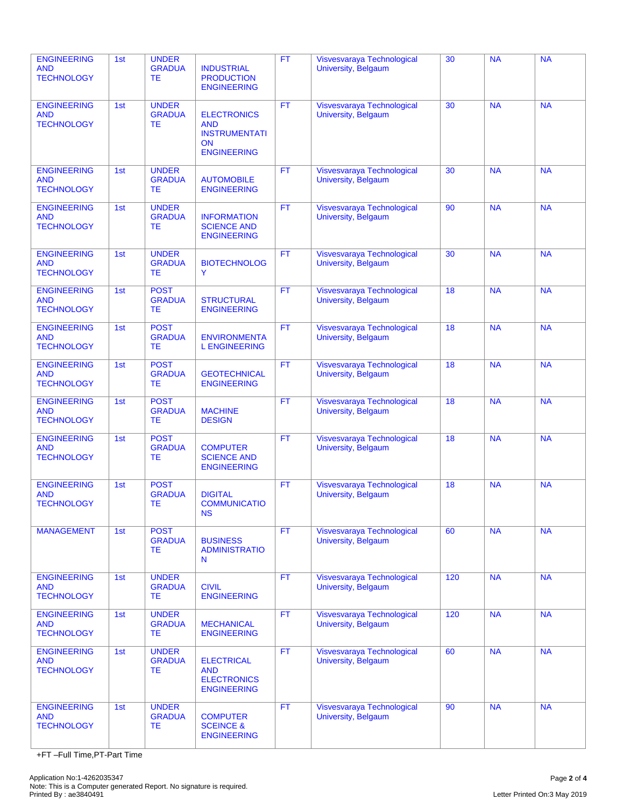| <b>ENGINEERING</b><br><b>AND</b><br><b>TECHNOLOGY</b> | 1st | <b>UNDER</b><br><b>GRADUA</b><br>TЕ        | <b>INDUSTRIAL</b><br><b>PRODUCTION</b><br><b>ENGINEERING</b>                                | <b>FT</b> | Visvesvaraya Technological<br>University, Belgaum | 30  | <b>NA</b> | <b>NA</b> |
|-------------------------------------------------------|-----|--------------------------------------------|---------------------------------------------------------------------------------------------|-----------|---------------------------------------------------|-----|-----------|-----------|
| <b>ENGINEERING</b><br><b>AND</b><br><b>TECHNOLOGY</b> | 1st | <b>UNDER</b><br><b>GRADUA</b><br>TЕ        | <b>ELECTRONICS</b><br><b>AND</b><br><b>INSTRUMENTATI</b><br><b>ON</b><br><b>ENGINEERING</b> | <b>FT</b> | Visvesvaraya Technological<br>University, Belgaum | 30  | <b>NA</b> | <b>NA</b> |
| <b>ENGINEERING</b><br><b>AND</b><br><b>TECHNOLOGY</b> | 1st | <b>UNDER</b><br><b>GRADUA</b><br>TЕ        | <b>AUTOMOBILE</b><br><b>ENGINEERING</b>                                                     | <b>FT</b> | Visvesvaraya Technological<br>University, Belgaum | 30  | <b>NA</b> | <b>NA</b> |
| <b>ENGINEERING</b><br><b>AND</b><br><b>TECHNOLOGY</b> | 1st | <b>UNDER</b><br><b>GRADUA</b><br><b>TE</b> | <b>INFORMATION</b><br><b>SCIENCE AND</b><br><b>ENGINEERING</b>                              | <b>FT</b> | Visvesvaraya Technological<br>University, Belgaum | 90  | <b>NA</b> | <b>NA</b> |
| <b>ENGINEERING</b><br><b>AND</b><br><b>TECHNOLOGY</b> | 1st | <b>UNDER</b><br><b>GRADUA</b><br><b>TE</b> | <b>BIOTECHNOLOG</b><br>Y                                                                    | <b>FT</b> | Visvesvaraya Technological<br>University, Belgaum | 30  | <b>NA</b> | <b>NA</b> |
| <b>ENGINEERING</b><br><b>AND</b><br><b>TECHNOLOGY</b> | 1st | <b>POST</b><br><b>GRADUA</b><br><b>TE</b>  | <b>STRUCTURAL</b><br><b>ENGINEERING</b>                                                     | <b>FT</b> | Visvesvaraya Technological<br>University, Belgaum | 18  | <b>NA</b> | <b>NA</b> |
| <b>ENGINEERING</b><br><b>AND</b><br><b>TECHNOLOGY</b> | 1st | <b>POST</b><br><b>GRADUA</b><br>TЕ         | <b>ENVIRONMENTA</b><br><b>L ENGINEERING</b>                                                 | <b>FT</b> | Visvesvaraya Technological<br>University, Belgaum | 18  | <b>NA</b> | <b>NA</b> |
| <b>ENGINEERING</b><br><b>AND</b><br><b>TECHNOLOGY</b> | 1st | <b>POST</b><br><b>GRADUA</b><br>TЕ         | <b>GEOTECHNICAL</b><br><b>ENGINEERING</b>                                                   | <b>FT</b> | Visvesvaraya Technological<br>University, Belgaum | 18  | <b>NA</b> | <b>NA</b> |
| <b>ENGINEERING</b><br><b>AND</b><br><b>TECHNOLOGY</b> | 1st | <b>POST</b><br><b>GRADUA</b><br>TЕ         | <b>MACHINE</b><br><b>DESIGN</b>                                                             | <b>FT</b> | Visvesvaraya Technological<br>University, Belgaum | 18  | <b>NA</b> | <b>NA</b> |
| <b>ENGINEERING</b><br><b>AND</b><br><b>TECHNOLOGY</b> | 1st | <b>POST</b><br><b>GRADUA</b><br>TЕ         | <b>COMPUTER</b><br><b>SCIENCE AND</b><br><b>ENGINEERING</b>                                 | <b>FT</b> | Visvesvaraya Technological<br>University, Belgaum | 18  | <b>NA</b> | <b>NA</b> |
| <b>ENGINEERING</b><br><b>AND</b><br><b>TECHNOLOGY</b> | 1st | <b>POST</b><br><b>GRADUA</b><br><b>TE</b>  | <b>DIGITAL</b><br><b>COMMUNICATIO</b><br><b>NS</b>                                          | <b>FT</b> | Visvesvaraya Technological<br>University, Belgaum | 18  | <b>NA</b> | <b>NA</b> |
| <b>MANAGEMENT</b>                                     | 1st | <b>POST</b><br><b>GRADUA</b><br>TЕ         | <b>BUSINESS</b><br><b>ADMINISTRATIO</b><br>N                                                | <b>FT</b> | Visvesvaraya Technological<br>University, Belgaum | 60  | <b>NA</b> | <b>NA</b> |
| <b>ENGINEERING</b><br><b>AND</b><br><b>TECHNOLOGY</b> | 1st | <b>UNDER</b><br><b>GRADUA</b><br>TЕ        | <b>CIVIL</b><br><b>ENGINEERING</b>                                                          | <b>FT</b> | Visvesvaraya Technological<br>University, Belgaum | 120 | <b>NA</b> | <b>NA</b> |
| <b>ENGINEERING</b><br><b>AND</b><br><b>TECHNOLOGY</b> | 1st | <b>UNDER</b><br><b>GRADUA</b><br><b>TE</b> | <b>MECHANICAL</b><br><b>ENGINEERING</b>                                                     | <b>FT</b> | Visvesvaraya Technological<br>University, Belgaum | 120 | <b>NA</b> | <b>NA</b> |
| <b>ENGINEERING</b><br><b>AND</b><br><b>TECHNOLOGY</b> | 1st | <b>UNDER</b><br><b>GRADUA</b><br>ТE        | <b>ELECTRICAL</b><br><b>AND</b><br><b>ELECTRONICS</b><br><b>ENGINEERING</b>                 | <b>FT</b> | Visvesvaraya Technological<br>University, Belgaum | 60  | <b>NA</b> | <b>NA</b> |
| <b>ENGINEERING</b><br><b>AND</b><br><b>TECHNOLOGY</b> | 1st | <b>UNDER</b><br><b>GRADUA</b><br>ТE        | <b>COMPUTER</b><br><b>SCEINCE &amp;</b><br><b>ENGINEERING</b>                               | <b>FT</b> | Visvesvaraya Technological<br>University, Belgaum | 90  | <b>NA</b> | <b>NA</b> |

+FT –Full Time,PT-Part Time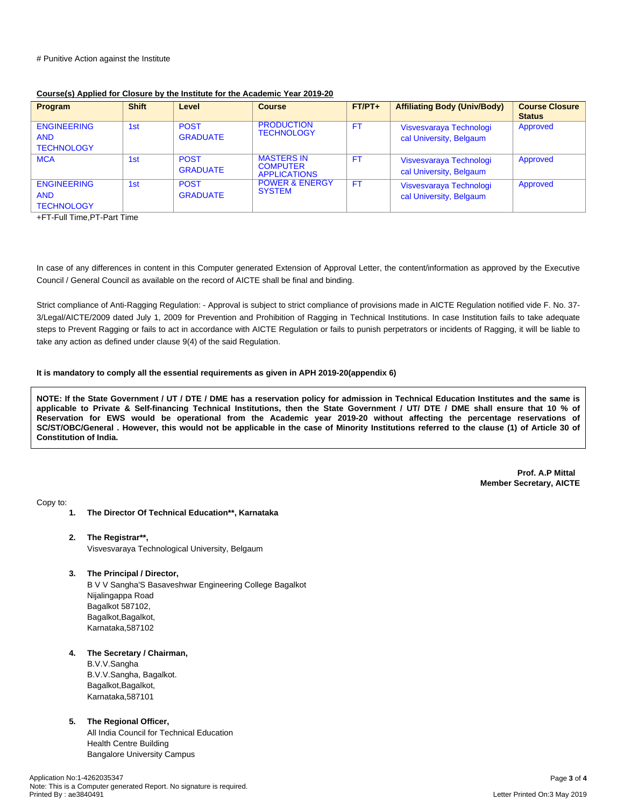| <b>Program</b>                                        | <b>Shift</b>    | Level                          | <b>Course</b>                                               | $FT/PT+$  | <b>Affiliating Body (Univ/Body)</b>                | <b>Course Closure</b><br><b>Status</b> |
|-------------------------------------------------------|-----------------|--------------------------------|-------------------------------------------------------------|-----------|----------------------------------------------------|----------------------------------------|
| <b>ENGINEERING</b><br><b>AND</b><br><b>TECHNOLOGY</b> | 1st             | <b>POST</b><br><b>GRADUATE</b> | <b>PRODUCTION</b><br><b>TECHNOLOGY</b>                      | <b>FT</b> | Visvesvaraya Technologi<br>cal University, Belgaum | Approved                               |
| <b>MCA</b>                                            | 1 <sub>st</sub> | <b>POST</b><br><b>GRADUATE</b> | <b>MASTERS IN</b><br><b>COMPUTER</b><br><b>APPLICATIONS</b> | <b>FT</b> | Visvesvaraya Technologi<br>cal University, Belgaum | Approved                               |
| <b>ENGINEERING</b><br><b>AND</b><br><b>TECHNOLOGY</b> | 1st             | <b>POST</b><br><b>GRADUATE</b> | <b>POWER &amp; ENERGY</b><br><b>SYSTEM</b>                  | FT.       | Visvesvaraya Technologi<br>cal University, Belgaum | Approved                               |

#### **Course(s) Applied for Closure by the Institute for the Academic Year 2019-20**

+FT-Full Time,PT-Part Time

In case of any differences in content in this Computer generated Extension of Approval Letter, the content/information as approved by the Executive Council / General Council as available on the record of AICTE shall be final and binding.

Strict compliance of Anti-Ragging Regulation: - Approval is subject to strict compliance of provisions made in AICTE Regulation notified vide F. No. 37- 3/Legal/AICTE/2009 dated July 1, 2009 for Prevention and Prohibition of Ragging in Technical Institutions. In case Institution fails to take adequate steps to Prevent Ragging or fails to act in accordance with AICTE Regulation or fails to punish perpetrators or incidents of Ragging, it will be liable to take any action as defined under clause 9(4) of the said Regulation.

#### **It is mandatory to comply all the essential requirements as given in APH 2019-20(appendix 6)**

NOTE: If the State Government / UT / DTE / DME has a reservation policy for admission in Technical Education Institutes and the same is applicable to Private & Self-financing Technical Institutions, then the State Government / UT/ DTE / DME shall ensure that 10 % of Reservation for EWS would be operational from the Academic year 2019-20 without affecting the percentage reservations of SC/ST/OBC/General . However, this would not be applicable in the case of Minority Institutions referred to the clause (1) of Article 30 of **Constitution of India.**

> **Prof. A.P Mittal Member Secretary, AICTE**

Copy to:

- **1. The Director Of Technical Education\*\*, Karnataka**
- **2. The Registrar\*\*,** Visvesvaraya Technological University, Belgaum
- **3. The Principal / Director,**

B V V Sangha'S Basaveshwar Engineering College Bagalkot Nijalingappa Road Bagalkot 587102, Bagalkot, Bagalkot, Karnataka,587102

#### **4. The Secretary / Chairman,**

B.V.V.Sangha B.V.V.Sangha, Bagalkot. Bagalkot, Bagalkot, Karnataka,587101

#### **5. The Regional Officer,**

All India Council for Technical Education Health Centre Building Bangalore University Campus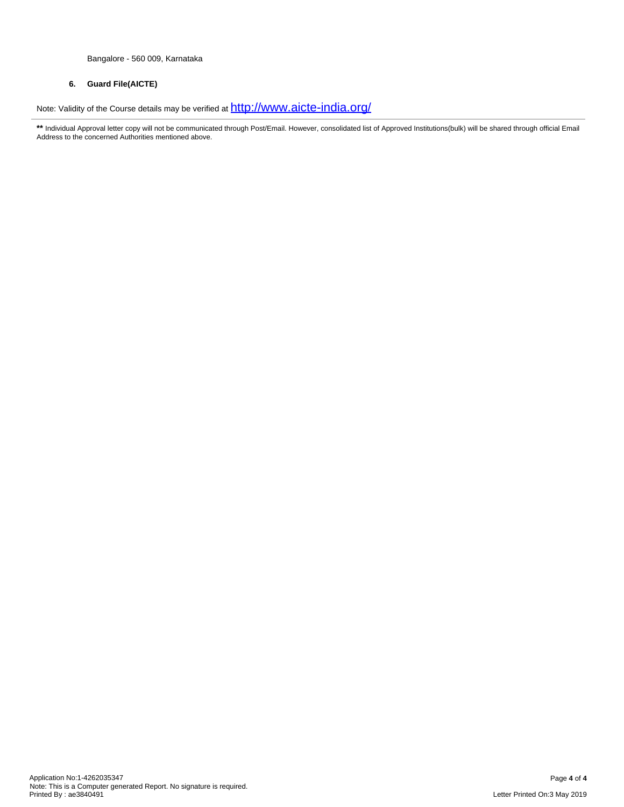Bangalore - 560 009, Karnataka

#### **6. Guard File(AICTE)**

Note: Validity of the Course details may be verified at  $\frac{\text{http://www.aicte-india.org/}}{\text{http://www.aicte-india.org/}}$  $\frac{\text{http://www.aicte-india.org/}}{\text{http://www.aicte-india.org/}}$  $\frac{\text{http://www.aicte-india.org/}}{\text{http://www.aicte-india.org/}}$ 

\*\* Individual Approval letter copy will not be communicated through Post/Email. However, consolidated list of Approved Institutions(bulk) will be shared through official Email Address to the concerned Authorities mentioned above.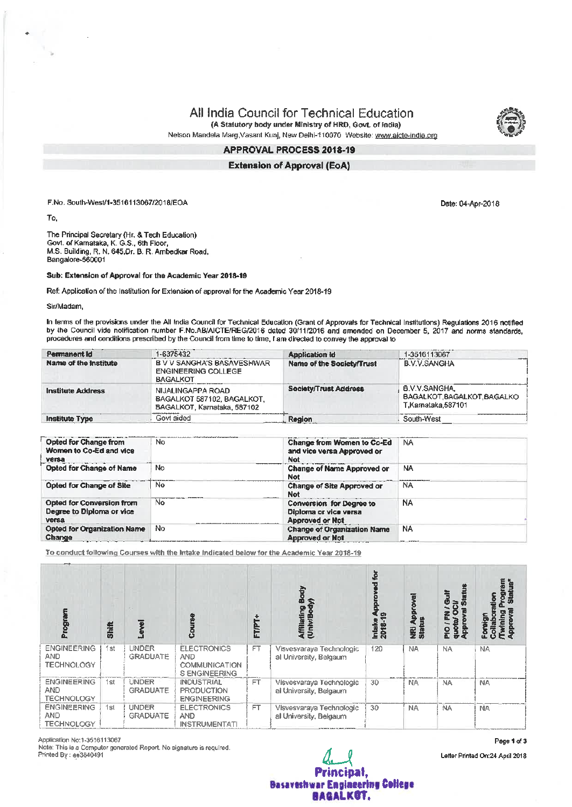(A Statutory body under Ministry of HRD, Govt. of India)

Nelson Mandela Marg, Vasant Kunj, New Delhi-110970 Website: www.aicte-india.org

#### APPROVAL PROCESS 2018-19

**Extension of Approval (EoA)** 

F.No. South-West/1-3516113067/2018/EOA

To.

The Principal Secretary (Hr. & Tech Education) Govt. of Kamataka, K. G.S., 6th Floor, M.S. Building, R. N. 645, Dr. B. R. Ambedkar Road, Bangalore-560001

#### Sub: Extension of Approval for the Academic Year 2018-19

Ref: Application of the Institution for Extension of approval for the Academic Year 2018-19

Sir/Madam,

In terms of the provisions under the All India Council for Technical Education (Grant of Approvats for Technical Institutions) Regulations 2016 notified by the Council vide notification number F.No.AB/AICTE/REG/2016 dated 30/11/2016 and amended on December 5, 2017 and norms standards, procedures and conditions prescribed by the Council from time to time, I am directed to convey the approval to

| Permanent Id             | 1-6375432                                                                      | <b>Application Id</b>            | 1-3516113067                                                      |
|--------------------------|--------------------------------------------------------------------------------|----------------------------------|-------------------------------------------------------------------|
| Name of the Institute    | B V V SANGHA'S BASAVESHWAR<br><b>ENGINEERING COLLEGE</b><br><b>BAGALKOT</b>    | <b>Name of the Society/Trust</b> | <b>Contractor</b><br><b>B.V.V.SANGHA</b>                          |
| <b>Institute Address</b> | NIJALINGAPPA ROAD<br>BAGALKOT 587102, BAGALKOT,<br>BAGALKOT, Karnataka, 587102 | <b>Society/Trust Address</b>     | 6.V.V.SANGHA<br>BAGALKOT, BAGALKOT, BAGALKO<br>T.Karnataka.587101 |
| <b>Institute Type</b>    | Govt aided                                                                     | Region                           | South-West                                                        |

| <b>Opted for Change from</b><br>Women to Co-Ed and vice<br>versa                                  | No. | Change from Women to Co-Ed<br>and vice versa Approved or<br>Not             | <b>NA</b> |  |
|---------------------------------------------------------------------------------------------------|-----|-----------------------------------------------------------------------------|-----------|--|
| <b>Opted for Change of Name</b>                                                                   | No  | <b>Change of Name Approved or</b><br><b>Not</b>                             | <b>NA</b> |  |
| <b>Opted for Change of Site</b>                                                                   | No. | <b>Change of Site Approved or</b><br><b>Not</b>                             | NA        |  |
| Opted for Conversion from<br>Degree to Diploma or vice<br>versa                                   | No. | Conversion for Degree to<br>Diploma or vice versa<br><b>Approved or Not</b> | <b>NA</b> |  |
| <b>Opted for Organization Name</b><br>Change<br>the state of the control of the state of the con- | No  | <b>Change of Organization Name</b><br><b>Approved or Not</b>                | <b>NA</b> |  |

To conduct following Courses with the Intake Indicated below for the Academic Year 2018-19

| <b>Right</b><br>Ā.                                    | Shift |                                 |                                                                                 | FTP       | Affiliating<br>(UniviBod                           | ₫<br>Intake A<br>2018-19 | NRI App<br>Status<br>豊 | 绝<br>ā<br>$\equiv$<br>о<br>둂<br><b>Sap</b><br>윤 | ξ<br><u>ي</u> |
|-------------------------------------------------------|-------|---------------------------------|---------------------------------------------------------------------------------|-----------|----------------------------------------------------|--------------------------|------------------------|-------------------------------------------------|---------------|
| <b>ENGINEERING</b><br><b>AND</b><br><b>TECHNOLOGY</b> | 1st   | <b>UNDER</b><br><b>GRADUATE</b> | <b>ELECTRONICS</b><br><b>AND</b><br><b>COMMUNICATION</b><br><b>SENGINEERING</b> | FT.       | Visvesvaraya Technologic<br>al University, Belgaum | 120                      | <b>NA</b>              | <b>NA</b>                                       | <b>NA</b>     |
| <b>ENGINEERING</b><br><b>AND</b><br><b>TECHNOLOGY</b> | 1st   | <b>UNDER</b><br><b>GRADUATE</b> | <b>INDUSTRIAL</b><br><b>PRODUCTION</b><br><b>ENGINEERING</b>                    | <b>FT</b> | Visvesvaraya Technologic<br>al University, Belgaum | 30                       | <b>NA</b>              | NA.                                             | NA            |
| <b>ENGINEERING</b><br><b>AND</b><br><b>TECHNOLOGY</b> | 1st   | <b>UNDER</b><br><b>GRADUATE</b> | <b>ELECTRONICS</b><br><b>AND</b><br><b>INSTRUMENTATI</b>                        | FT.       | Visvesvaraya Technologic<br>al University, Belgaum | 30                       | <b>NA</b>              | <b>NA</b>                                       | <b>NA</b>     |

Application No:1-3516113067

Note: This is a Computer generated Report. No signature is required. Printed By: ae3840491

Principal. **Basaveshwar Engineering College** BAGALKOT.

Letter Printed On:24 April 2018

Date: 04-Apr-2018

Page 1 of 3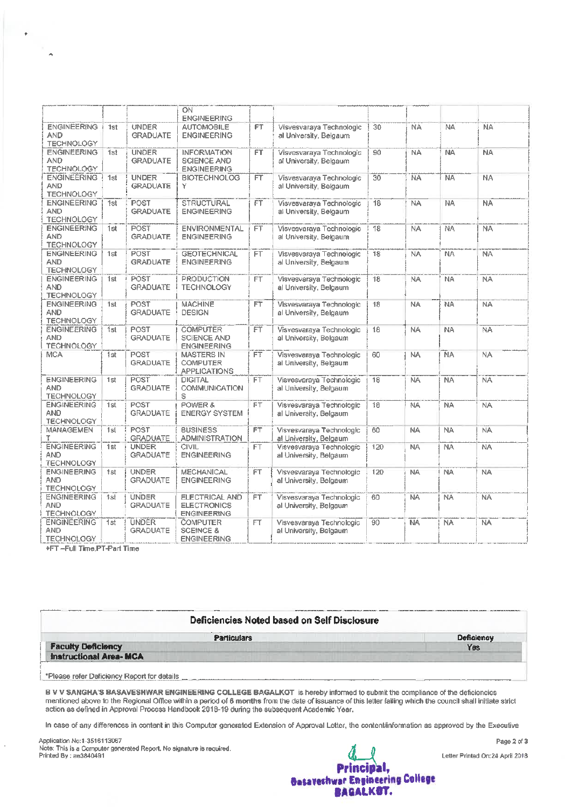|                                                       |     |                                 | ON<br><b>ENGINEERING</b>                                       |                |                                                    |                 |           |                |           |  |
|-------------------------------------------------------|-----|---------------------------------|----------------------------------------------------------------|----------------|----------------------------------------------------|-----------------|-----------|----------------|-----------|--|
| <b>ENGINEERING</b><br><b>AND</b><br><b>TECHNOLOGY</b> | 1st | <b>UNDER</b><br><b>GRADUATE</b> | <b>AUTOMOBILE</b><br><b>ENGINEERING</b>                        | FT.            | Visvesvaraya Technologic<br>al University, Belgaum | 30 <sup>7</sup> | <b>NA</b> | NA <sup></sup> | <b>NA</b> |  |
| <b>ENGINEERING</b><br><b>AND</b><br><b>TECHNOLOGY</b> | 1st | <b>UNDER</b><br><b>GRADUATE</b> | <b>INFORMATION</b><br><b>SCIENCE AND</b><br><b>ENGINEERING</b> | FT.            | Visvesvaraya Technologic<br>al University, Belgaum | 90              | <b>NA</b> | <b>NA</b>      | <b>NA</b> |  |
| <b>ENGINEERING</b><br><b>AND</b><br><b>TECHNOLOGY</b> | 1st | <b>UNDER</b><br><b>GRADUATE</b> | <b>BIOTECHNOLOG</b><br>Υ                                       | FΤ             | Visvesvaraya Technologic<br>al University, Belgaum | 30              | <b>NA</b> | <b>NA</b>      | <b>NA</b> |  |
| <b>ENGINEERING</b><br><b>AND</b><br><b>TECHNOLOGY</b> | 1st | <b>POST</b><br><b>GRADUATE</b>  | STRUCTURAL<br><b>ENGINEERING</b>                               | FT.            | Visvesvarava Technologic<br>al University, Belgaum | 18              | <b>NA</b> | <b>NA</b>      | <b>NA</b> |  |
| <b>ENGINEERING</b><br><b>AND</b><br><b>TECHNOLOGY</b> | 1st | <b>POST</b><br><b>GRADUATE</b>  | <b>ENVIRONMENTAL</b><br><b>ENGINEERING</b>                     | FT.            | Visvesvaraya Technologic<br>al University, Belgaum | 18              | <b>NA</b> | <b>NA</b>      | <b>NA</b> |  |
| <b>ENGINEERING</b><br><b>AND</b><br><b>TECHNOLOGY</b> | 1st | POST<br><b>GRADUATE</b>         | <b>GEOTECHNICAL</b><br><b>ENGINEERING</b>                      | FT.            | Visvesvaraya Technologic<br>al University, Belgaum | 18              | <b>NA</b> | <b>NA</b>      | <b>NA</b> |  |
| <b>ENGINEERING</b><br>AND<br><b>TECHNOLOGY</b>        | 1st | POST<br><b>GRADUATE</b>         | <b>PRODUCTION</b><br>TECHNOLOGY                                | FT <sub></sub> | Visvesvaraya Technologic<br>al University, Belgaum | 18              | NA        | <b>NA</b>      | <b>NA</b> |  |
| <b>ENGINEERING</b><br>AND<br><b>TECHNOLOGY</b>        | 1st | POST<br><b>GRADUATE</b>         | <b>MACHINE</b><br><b>DESIGN</b>                                | FT             | Visvesvaraya Technologic<br>al University, Belgaum | 18              | <b>NA</b> | NA             | NA.       |  |
| <b>ENGINEERING</b><br><b>AND</b><br><b>TECHNOLOGY</b> | 1st | POST<br><b>GRADUATE</b>         | <b>COMPUTER</b><br>SCIENCE AND<br><b>ENGINEERING</b>           | FT             | Visvesvarava Technologic<br>al University, Belgaum | 18              | <b>NA</b> | <b>NA</b>      | <b>NA</b> |  |
| <b>MCA</b>                                            | 1st | POST<br><b>GRADUATE</b>         | <b>MASTERS IN</b><br><b>COMPUTER</b><br><b>APPLICATIONS</b>    | FT             | Visvesvaraya Technologic<br>al University, Belgaum | 60              | <b>NA</b> | <b>NA</b>      | NA        |  |
| <b>ENGINEERING</b><br><b>AND</b><br><b>TECHNOLOGY</b> | 1st | POST<br><b>GRADUATE</b>         | <b>DIGITAL</b><br><b>COMMUNICATION</b><br>s                    | ËΤ             | Visvesvaraya Technologic<br>al University, Belgaum | 18              | <b>NA</b> | NA             | <b>NA</b> |  |
| <b>ENGINEERING</b><br><b>AND</b><br><b>TECHNOLOGY</b> | 1st | POST<br>GRADUATE                | POWER &<br><b>ENERGY SYSTEM</b>                                | FT             | Visvesvaraya Technologic<br>al University, Belgaum | 18              | NA        | <b>NA</b>      | <b>NA</b> |  |
| <b>MANAGEMEN</b><br>Ŧ                                 | 1st | <b>POST</b><br><b>GRADUATE</b>  | <b>BUSINESS</b><br><b>ADMINISTRATION</b>                       | FT.            | Visvesvaraya Technologic<br>al University, Belgaum | 60              | <b>NA</b> | <b>NA</b>      | <b>NA</b> |  |
| <b>ENGINEERING</b><br><b>AND</b><br><b>TECHNOLOGY</b> | 1st | <b>UNDER</b><br><b>GRADUATE</b> | <b>CIVIL</b><br><b>ENGINEERING</b>                             | FT.            | Visvesvaraya Technologic<br>al University, Belgaum | 120             | <b>NA</b> | NA             | NA        |  |
| <b>ENGINEERING</b><br><b>AND</b><br><b>TECHNOLOGY</b> | 1st | <b>UNDER</b><br><b>GRADUATE</b> | <b>MECHANICAL</b><br><b>ENGINEERING</b>                        | ËT             | Visvesvaraya Technologic<br>al University, Belgaum | 120             | <b>NA</b> | <b>NA</b>      | <b>NA</b> |  |
| <b>ENGINEERING</b><br>AND<br><b>TECHNOLOGY</b>        | 1st | <b>UNDER</b><br><b>GRADUATE</b> | ELECTRICAL AND<br><b>ELECTRONICS</b><br><b>ENGINEERING</b>     | FT.            | Visvesvaraya Technologic<br>al University, Belgaum | 60              | ΝA        | <b>NA</b>      | <b>NA</b> |  |
| <b>ENGINEERING</b><br>AND<br><b>TECHNOLOGY</b>        | 1st | <b>UNDER</b><br><b>GRADUATE</b> | <b>COMPUTER</b><br><b>SCEINCE &amp;</b><br><b>ENGINEERING</b>  | FT.            | Visvesvaraya Technologic<br>al University, Belgaum | 90              | <b>NA</b> | <b>NA</b>      | <b>NA</b> |  |

**+FT-Full Time,PT-Part Time** 

 $\bullet$ 

 $\rightarrow$ 

| Deficiencies Noted based on Self Disclosure |            |
|---------------------------------------------|------------|
| <b>Particulars</b>                          | Deficiency |
| <b>Faculty Deficiency</b>                   | Yes        |
| <b>Instructional Area-MCA</b>               |            |

B V V SANGHA'S BASAVESHWAR ENGINEERING COLLEGE BAGALKOT is hereby informed to submit the compliance of the deficiencies<br>mentioned above to the Regional Office within a period of 6 months from the date of issuance of this l

In case of any differences in content in this Computer generated Extension of Approval Letter, the content/information as approved by the Executive

Application No:1-3516113067 Note: This is a Computer generated Report. No signature is required.<br>Printed By : ae3840491



Page 2 of 3

Letter Printed On:24 April 2018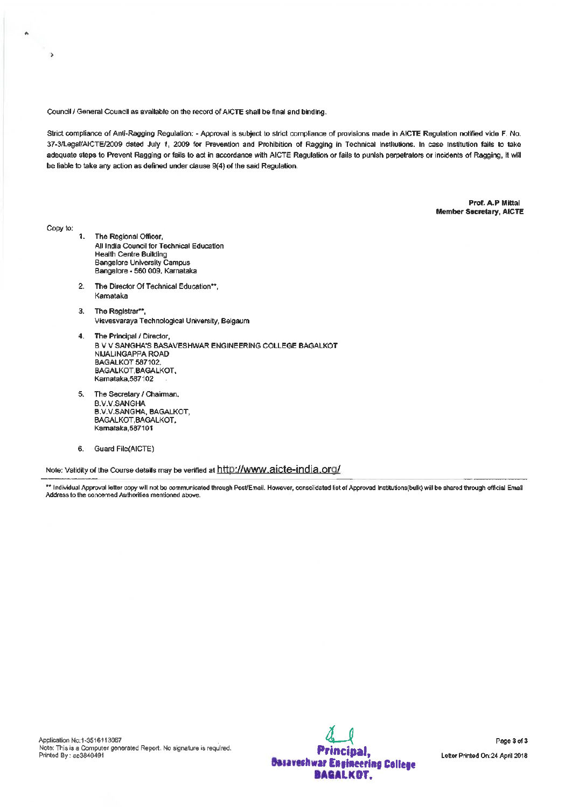Council / General Council as available on the record of AICTE shall be final and binding.

Strict compliance of Anti-Ragging Regulation: - Approval is subject to strict compliance of provisions made in AICTE Regulation notified vide F. No. 37-3/Legat/AICTE/2009 dated July 1, 2009 for Prevention and Prohibition of Ragging in Technical Institutions. In case Institution fails to take adequate steps to Prevent Ragging or fails to act in accordance with AICTE Regulation or fails to punish perpetrators or incidents of Ragging, it will be liable to take any action as defined under clause 9(4) of the said Regulation.

> Prof. A.P Mittal **Member Secretary, AICTE**

Copy to:

 $\alpha$ 

 $\overline{\phantom{a}}$ 

- 1. The Regional Officer, All India Council for Technical Education **Health Centre Building** Bangalore University Campus Bangalore - 560 009, Karnataka
- 2. The Director Of Technical Education\*\*. Kamataka
- 3. The Registrar\*\*. Visvesvaraya Technological University, Belgaum
- 4. The Principal / Director, B V V SANGHA'S BASAVESHWAR ENGINEERING COLLEGE BAGALKOT NIJALINGAPPA ROAD **BAGALKOT 587102** BAGALKOT.BAGALKOT. Karnataka, 587102
- 5. The Secretary / Chairman, **B.V.V.SANGHA B.V.V.SANGHA, BAGALKOT,** BAGALKOT, BAGALKOT, Kamataka, 587101
- 6. Guard File(AICTE)

Note: Validity of the Course details may be verified at http://www.aicte-india.org/

\*\* Individual Approval letter copy will not be communicated through Post/Email. However, consolidated list of Approved Institutions(bulk) will be shared through official Email Address to the concerned Authorities mentioned above

Application No:1-3516113067 Note: This is a Computer generated Report. No signature is required. Printed By: ae3840491

Principal, **Dasaveshwar Engineering College BAGALKOT.**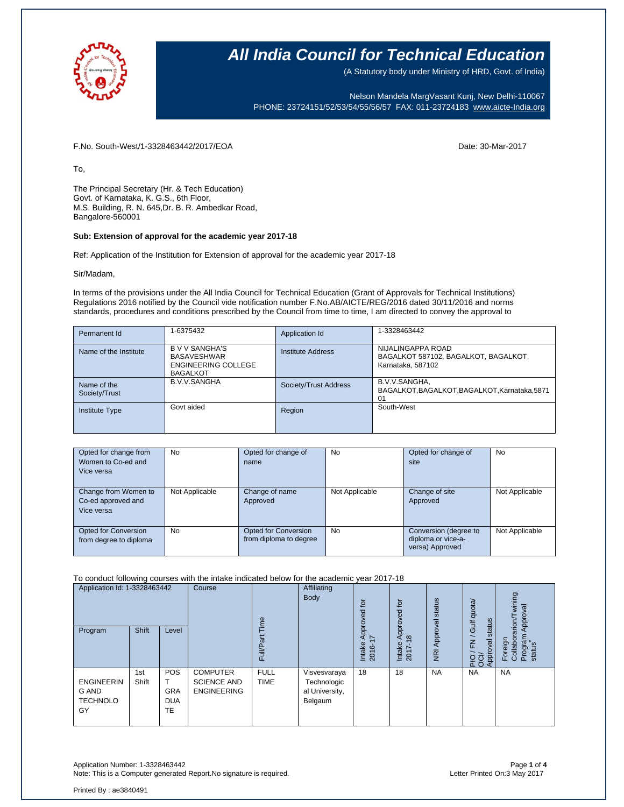

(A Statutory body under Ministry of HRD, Govt. of India)

Nelson Mandela MargVasant Kunj, New Delhi-110067 PHONE: 23724151/52/53/54/55/56/57 FAX: 011-23724183 [www.aicte-India.org](http://www.aicte-india.org/)

F.No. South-West/1-3328463442/2017/EOA Date: 30-Mar-2017

To,

The Principal Secretary (Hr. & Tech Education) Govt. of Karnataka, K. G.S., 6th Floor, M.S. Building, R. N. 645,Dr. B. R. Ambedkar Road, Bangalore-560001

#### **Sub: Extension of approval for the academic year 2017-18**

Ref: Application of the Institution for Extension of approval for the academic year 2017-18

Sir/Madam,

In terms of the provisions under the All India Council for Technical Education (Grant of Approvals for Technical Institutions) Regulations 2016 notified by the Council vide notification number F.No.AB/AICTE/REG/2016 dated 30/11/2016 and norms standards, procedures and conditions prescribed by the Council from time to time, I am directed to convey the approval to

| Permanent Id                 | 1-6375432                                                                                  | Application Id           | 1-3328463442                                                                   |
|------------------------------|--------------------------------------------------------------------------------------------|--------------------------|--------------------------------------------------------------------------------|
| Name of the Institute        | <b>BVV SANGHA'S</b><br><b>BASAVESHWAR</b><br><b>ENGINEERING COLLEGE</b><br><b>BAGALKOT</b> | <b>Institute Address</b> | NIJALINGAPPA ROAD<br>BAGALKOT 587102, BAGALKOT, BAGALKOT,<br>Karnataka, 587102 |
| Name of the<br>Society/Trust | <b>B.V.V.SANGHA</b>                                                                        | Society/Trust Address    | B.V.V.SANGHA,<br>BAGALKOT, BAGALKOT, BAGALKOT, Karnataka, 5871<br>01           |
| <b>Institute Type</b>        | Govt aided                                                                                 | Region                   | South-West                                                                     |

| Opted for change from<br>Women to Co-ed and<br>Vice versa | No             | Opted for change of<br>name                    | <b>No</b>      | Opted for change of<br>site                                    | No             |
|-----------------------------------------------------------|----------------|------------------------------------------------|----------------|----------------------------------------------------------------|----------------|
| Change from Women to<br>Co-ed approved and<br>Vice versa  | Not Applicable | Change of name<br>Approved                     | Not Applicable | Change of site<br>Approved                                     | Not Applicable |
| <b>Opted for Conversion</b><br>from degree to diploma     | No.            | Opted for Conversion<br>from diploma to degree | <b>No</b>      | Conversion (degree to<br>diploma or vice-a-<br>versa) Approved | Not Applicable |

To conduct following courses with the intake indicated below for the academic year 2017-18

| Application Id: 1-3328463442                        |              | Course<br>euil.                              |                                                             | Affiliating<br>Body        | for<br>yed                                               | $\overline{5}$<br>Approved                               | Approval status                      | / Gulf quota/  | wining<br>Approval                         |                                                 |
|-----------------------------------------------------|--------------|----------------------------------------------|-------------------------------------------------------------|----------------------------|----------------------------------------------------------|----------------------------------------------------------|--------------------------------------|----------------|--------------------------------------------|-------------------------------------------------|
| Program                                             | <b>Shift</b> | Level                                        |                                                             | ౚ<br>FullP                 |                                                          | <b>Appro</b><br>$\blacktriangleright$<br>Intake<br>2016- | $\frac{\infty}{2}$<br>Intake<br>2017 | $\overline{g}$ | status<br>$\overline{E}$<br>Approval<br>운영 | Foreign<br>Collaborarion/T<br>Program<br>status |
| <b>ENGINEERIN</b><br>G AND<br><b>TECHNOLO</b><br>GY | 1st<br>Shift | <b>POS</b><br><b>GRA</b><br><b>DUA</b><br>TE | <b>COMPUTER</b><br><b>SCIENCE AND</b><br><b>ENGINEERING</b> | <b>FULL</b><br><b>TIME</b> | Visvesvaraya<br>Technologic<br>al University,<br>Belgaum | 18                                                       | 18                                   | <b>NA</b>      | <b>NA</b>                                  | <b>NA</b>                                       |

Application Number: 1-3328463442 Page **1** of **4** Note: This is a Computer generated Report.No signature is required.

Printed By : ae3840491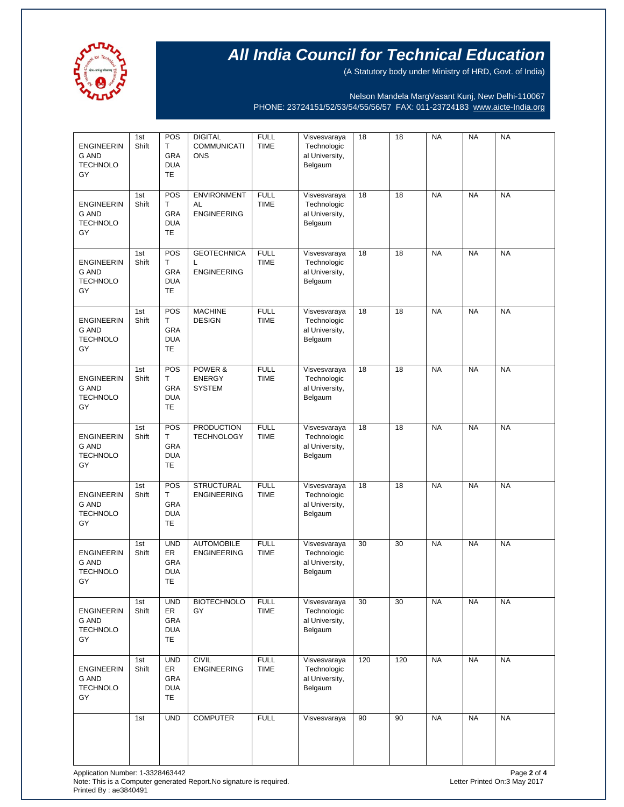

(A Statutory body under Ministry of HRD, Govt. of India)

Nelson Mandela MargVasant Kunj, New Delhi-110067 PHONE: 23724151/52/53/54/55/56/57 FAX: 011-23724183 [www.aicte-India.org](http://www.aicte-india.org/)

| <b>ENGINEERIN</b><br><b>G AND</b><br><b>TECHNOLO</b><br>GY | 1st<br>Shift | POS<br>T.<br>GRA<br><b>DUA</b><br>TE               | <b>DIGITAL</b><br><b>COMMUNICATI</b><br><b>ONS</b> | <b>FULL</b><br><b>TIME</b> | Visvesvaraya<br>Technologic<br>al University,<br>Belgaum | 18  | 18  | <b>NA</b> | <b>NA</b> | <b>NA</b> |
|------------------------------------------------------------|--------------|----------------------------------------------------|----------------------------------------------------|----------------------------|----------------------------------------------------------|-----|-----|-----------|-----------|-----------|
| <b>ENGINEERIN</b><br><b>G AND</b><br><b>TECHNOLO</b><br>GY | 1st<br>Shift | POS<br>Τ<br>GRA<br><b>DUA</b><br>TE                | <b>ENVIRONMENT</b><br>AL<br><b>ENGINEERING</b>     | <b>FULL</b><br><b>TIME</b> | Visvesvaraya<br>Technologic<br>al University,<br>Belgaum | 18  | 18  | <b>NA</b> | <b>NA</b> | <b>NA</b> |
| <b>ENGINEERIN</b><br><b>G AND</b><br><b>TECHNOLO</b><br>GY | 1st<br>Shift | POS<br>T.<br>GRA<br><b>DUA</b><br><b>TE</b>        | <b>GEOTECHNICA</b><br>L<br><b>ENGINEERING</b>      | <b>FULL</b><br><b>TIME</b> | Visvesvaraya<br>Technologic<br>al University,<br>Belgaum | 18  | 18  | <b>NA</b> | <b>NA</b> | <b>NA</b> |
| <b>ENGINEERIN</b><br><b>G AND</b><br><b>TECHNOLO</b><br>GY | 1st<br>Shift | POS<br>T.<br><b>GRA</b><br><b>DUA</b><br>TE        | <b>MACHINE</b><br><b>DESIGN</b>                    | <b>FULL</b><br><b>TIME</b> | Visvesvaraya<br>Technologic<br>al University,<br>Belgaum | 18  | 18  | <b>NA</b> | <b>NA</b> | <b>NA</b> |
| <b>ENGINEERIN</b><br><b>G AND</b><br><b>TECHNOLO</b><br>GY | 1st<br>Shift | POS<br>Τ<br>GRA<br><b>DUA</b><br><b>TE</b>         | POWER &<br><b>ENERGY</b><br><b>SYSTEM</b>          | <b>FULL</b><br><b>TIME</b> | Visvesvaraya<br>Technologic<br>al University,<br>Belgaum | 18  | 18  | <b>NA</b> | <b>NA</b> | <b>NA</b> |
| <b>ENGINEERIN</b><br><b>G AND</b><br><b>TECHNOLO</b><br>GY | 1st<br>Shift | POS<br>Τ<br><b>GRA</b><br><b>DUA</b><br><b>TE</b>  | <b>PRODUCTION</b><br><b>TECHNOLOGY</b>             | <b>FULL</b><br><b>TIME</b> | Visvesvaraya<br>Technologic<br>al University,<br>Belgaum | 18  | 18  | <b>NA</b> | <b>NA</b> | <b>NA</b> |
| <b>ENGINEERIN</b><br><b>G AND</b><br><b>TECHNOLO</b><br>GY | 1st<br>Shift | POS<br>T<br>GRA<br><b>DUA</b><br><b>TE</b>         | <b>STRUCTURAL</b><br><b>ENGINEERING</b>            | <b>FULL</b><br><b>TIME</b> | Visvesvaraya<br>Technologic<br>al University,<br>Belgaum | 18  | 18  | <b>NA</b> | <b>NA</b> | <b>NA</b> |
| <b>ENGINEERIN</b><br><b>G AND</b><br><b>TECHNOLO</b><br>GY | 1st<br>Shift | <b>UND</b><br>ER<br><b>GRA</b><br><b>DUA</b><br>TE | <b>AUTOMOBILE</b><br><b>ENGINEERING</b>            | <b>FULL</b><br><b>TIME</b> | Visvesvaraya<br>Technologic<br>al University,<br>Belgaum | 30  | 30  | <b>NA</b> | <b>NA</b> | <b>NA</b> |
| <b>ENGINEERIN</b><br><b>G AND</b><br><b>TECHNOLO</b><br>GY | 1st<br>Shift | <b>UND</b><br>ER<br>GRA<br><b>DUA</b><br><b>TE</b> | <b>BIOTECHNOLO</b><br>GY                           | <b>FULL</b><br><b>TIME</b> | Visvesvaraya<br>Technologic<br>al University,<br>Belgaum | 30  | 30  | <b>NA</b> | <b>NA</b> | <b>NA</b> |
| <b>ENGINEERIN</b><br><b>G AND</b><br><b>TECHNOLO</b><br>GY | 1st<br>Shift | <b>UND</b><br>ER<br>GRA<br><b>DUA</b><br><b>TE</b> | <b>CIVIL</b><br><b>ENGINEERING</b>                 | <b>FULL</b><br><b>TIME</b> | Visvesvaraya<br>Technologic<br>al University,<br>Belgaum | 120 | 120 | <b>NA</b> | <b>NA</b> | <b>NA</b> |
|                                                            | 1st          | <b>UND</b>                                         | <b>COMPUTER</b>                                    | <b>FULL</b>                | Visvesvaraya                                             | 90  | 90  | <b>NA</b> | <b>NA</b> | <b>NA</b> |

Application Number: 1-3328463442 Page **2** of **4** Note: This is a Computer generated Report.No signature is required. Letter Printed On:3 May 2017 Printed By : ae3840491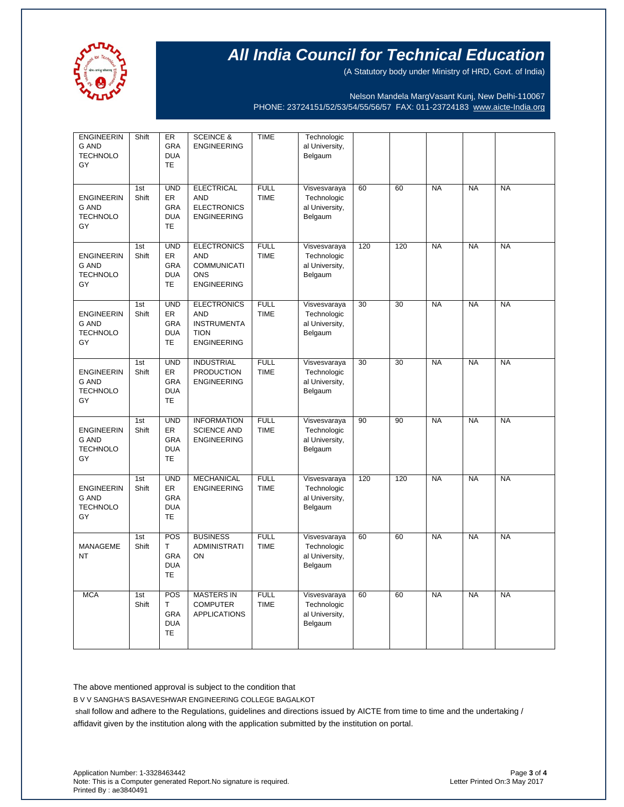

(A Statutory body under Ministry of HRD, Govt. of India)

Nelson Mandela MargVasant Kunj, New Delhi-110067 PHONE: 23724151/52/53/54/55/56/57 FAX: 011-23724183 [www.aicte-India.org](http://www.aicte-india.org/)

| <b>ENGINEERIN</b><br><b>G AND</b><br><b>TECHNOLO</b><br>GY | Shift                    | ER<br>GRA<br><b>DUA</b><br><b>TE</b>                             | <b>SCEINCE &amp;</b><br><b>ENGINEERING</b>                                                  | <b>TIME</b>                | Technologic<br>al University,<br>Belgaum                 |     |     |           |           |           |
|------------------------------------------------------------|--------------------------|------------------------------------------------------------------|---------------------------------------------------------------------------------------------|----------------------------|----------------------------------------------------------|-----|-----|-----------|-----------|-----------|
| <b>ENGINEERIN</b><br><b>G AND</b><br><b>TECHNOLO</b><br>GY | 1 <sub>st</sub><br>Shift | <b>UND</b><br><b>ER</b><br><b>GRA</b><br><b>DUA</b><br><b>TE</b> | <b>ELECTRICAL</b><br><b>AND</b><br><b>ELECTRONICS</b><br><b>ENGINEERING</b>                 | <b>FULL</b><br><b>TIME</b> | Visvesvaraya<br>Technologic<br>al University,<br>Belgaum | 60  | 60  | <b>NA</b> | <b>NA</b> | <b>NA</b> |
| <b>ENGINEERIN</b><br><b>G AND</b><br><b>TECHNOLO</b><br>GY | 1st<br>Shift             | <b>UND</b><br>ER<br><b>GRA</b><br><b>DUA</b><br><b>TE</b>        | <b>ELECTRONICS</b><br><b>AND</b><br><b>COMMUNICATI</b><br><b>ONS</b><br><b>ENGINEERING</b>  | <b>FULL</b><br><b>TIME</b> | Visvesvaraya<br>Technologic<br>al University,<br>Belgaum | 120 | 120 | <b>NA</b> | <b>NA</b> | <b>NA</b> |
| <b>ENGINEERIN</b><br><b>G AND</b><br><b>TECHNOLO</b><br>GY | 1st<br>Shift             | <b>UND</b><br><b>ER</b><br><b>GRA</b><br><b>DUA</b><br><b>TE</b> | <b>ELECTRONICS</b><br><b>AND</b><br><b>INSTRUMENTA</b><br><b>TION</b><br><b>ENGINEERING</b> | <b>FULL</b><br><b>TIME</b> | Visvesvaraya<br>Technologic<br>al University,<br>Belgaum | 30  | 30  | <b>NA</b> | <b>NA</b> | <b>NA</b> |
| <b>ENGINEERIN</b><br><b>G AND</b><br><b>TECHNOLO</b><br>GY | 1st<br>Shift             | <b>UND</b><br>ER<br><b>GRA</b><br><b>DUA</b><br>TE               | <b>INDUSTRIAL</b><br><b>PRODUCTION</b><br><b>ENGINEERING</b>                                | <b>FULL</b><br><b>TIME</b> | Visvesvaraya<br>Technologic<br>al University,<br>Belgaum | 30  | 30  | <b>NA</b> | <b>NA</b> | <b>NA</b> |
| <b>ENGINEERIN</b><br>G AND<br><b>TECHNOLO</b><br>GY        | 1st<br>Shift             | <b>UND</b><br><b>ER</b><br>GRA<br><b>DUA</b><br><b>TE</b>        | <b>INFORMATION</b><br><b>SCIENCE AND</b><br><b>ENGINEERING</b>                              | <b>FULL</b><br><b>TIME</b> | Visvesvaraya<br>Technologic<br>al University,<br>Belgaum | 90  | 90  | <b>NA</b> | <b>NA</b> | <b>NA</b> |
| <b>ENGINEERIN</b><br><b>G AND</b><br><b>TECHNOLO</b><br>GY | 1st<br>Shift             | <b>UND</b><br>ER<br><b>GRA</b><br><b>DUA</b><br><b>TE</b>        | <b>MECHANICAL</b><br><b>ENGINEERING</b>                                                     | <b>FULL</b><br><b>TIME</b> | Visvesvaraya<br>Technologic<br>al University,<br>Belgaum | 120 | 120 | <b>NA</b> | <b>NA</b> | <b>NA</b> |
| <b>MANAGEME</b><br><b>NT</b>                               | 1st<br>Shift             | POS<br>T.<br><b>GRA</b><br><b>DUA</b><br><b>TE</b>               | <b>BUSINESS</b><br><b>ADMINISTRATI</b><br>ON                                                | <b>FULL</b><br><b>TIME</b> | Visvesvaraya<br>Technologic<br>al University,<br>Belgaum | 60  | 60  | <b>NA</b> | <b>NA</b> | <b>NA</b> |
| <b>MCA</b>                                                 | 1st<br>Shift             | POS<br>T.<br><b>GRA</b><br><b>DUA</b><br><b>TE</b>               | <b>MASTERS IN</b><br><b>COMPUTER</b><br><b>APPLICATIONS</b>                                 | <b>FULL</b><br><b>TIME</b> | Visvesvaraya<br>Technologic<br>al University,<br>Belgaum | 60  | 60  | <b>NA</b> | <b>NA</b> | <b>NA</b> |

The above mentioned approval is subject to the condition that

B V V SANGHA'S BASAVESHWAR ENGINEERING COLLEGE BAGALKOT

shall follow and adhere to the Regulations, guidelines and directions issued by AICTE from time to time and the undertaking / affidavit given by the institution along with the application submitted by the institution on portal.